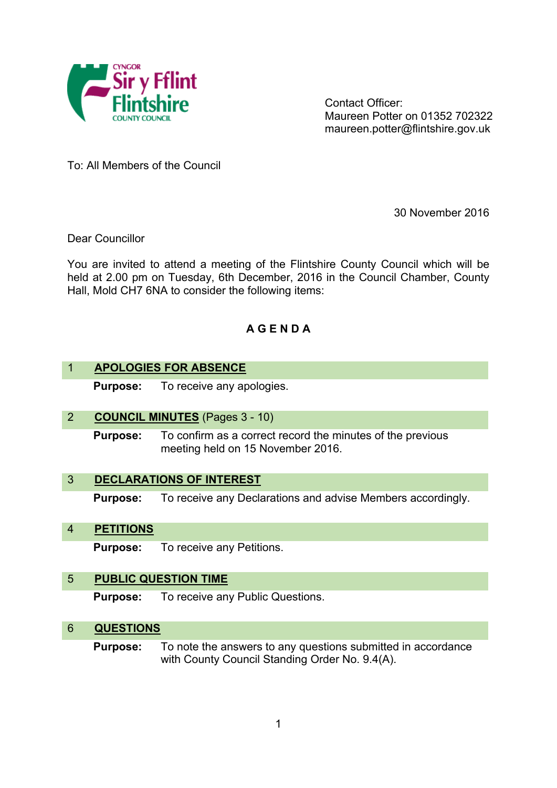

Contact Officer: Maureen Potter on 01352 702322 maureen.potter@flintshire.gov.uk

To: All Members of the Council

30 November 2016

Dear Councillor

You are invited to attend a meeting of the Flintshire County Council which will be held at 2.00 pm on Tuesday, 6th December, 2016 in the Council Chamber, County Hall, Mold CH7 6NA to consider the following items:

# **A G E N D A**

## 1 **APOLOGIES FOR ABSENCE**

**Purpose:** To receive any apologies.

### 2 **COUNCIL MINUTES** (Pages 3 - 10)

**Purpose:** To confirm as a correct record the minutes of the previous meeting held on 15 November 2016.

#### 3 **DECLARATIONS OF INTEREST**

**Purpose:** To receive any Declarations and advise Members accordingly.

#### 4 **PETITIONS**

**Purpose:** To receive any Petitions.

#### 5 **PUBLIC QUESTION TIME**

**Purpose:** To receive any Public Questions.

#### 6 **QUESTIONS**

**Purpose:** To note the answers to any questions submitted in accordance with County Council Standing Order No. 9.4(A).